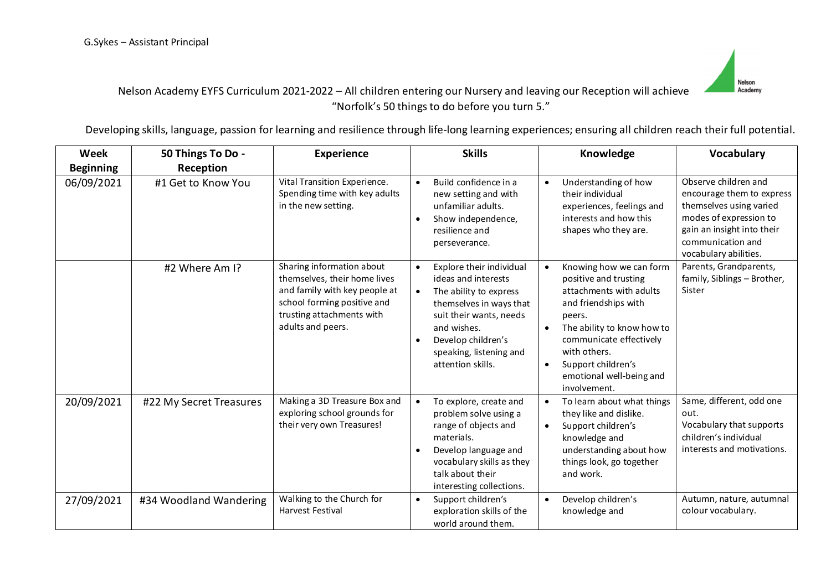

# Nelson Academy EYFS Curriculum 2021-2022 – All children entering our Nursery and leaving our Reception will achieve "Norfolk's 50 things to do before you turn 5."

Developing skills, language, passion for learning and resilience through life-long learning experiences; ensuring all children reach their full potential.

| Week             | 50 Things To Do -       | <b>Experience</b>                                                                                                                                                           | <b>Skills</b>                                                                                                                                                                                                                                               | Knowledge                                                                                                                                                                                                                                                                                       | Vocabulary                                                                                                                                                                         |
|------------------|-------------------------|-----------------------------------------------------------------------------------------------------------------------------------------------------------------------------|-------------------------------------------------------------------------------------------------------------------------------------------------------------------------------------------------------------------------------------------------------------|-------------------------------------------------------------------------------------------------------------------------------------------------------------------------------------------------------------------------------------------------------------------------------------------------|------------------------------------------------------------------------------------------------------------------------------------------------------------------------------------|
| <b>Beginning</b> | Reception               |                                                                                                                                                                             |                                                                                                                                                                                                                                                             |                                                                                                                                                                                                                                                                                                 |                                                                                                                                                                                    |
| 06/09/2021       | #1 Get to Know You      | Vital Transition Experience.<br>Spending time with key adults<br>in the new setting.                                                                                        | Build confidence in a<br>$\bullet$<br>new setting and with<br>unfamiliar adults.<br>Show independence,<br>$\bullet$<br>resilience and<br>perseverance.                                                                                                      | Understanding of how<br>their individual<br>experiences, feelings and<br>interests and how this<br>shapes who they are.                                                                                                                                                                         | Observe children and<br>encourage them to express<br>themselves using varied<br>modes of expression to<br>gain an insight into their<br>communication and<br>vocabulary abilities. |
|                  | #2 Where Am I?          | Sharing information about<br>themselves, their home lives<br>and family with key people at<br>school forming positive and<br>trusting attachments with<br>adults and peers. | Explore their individual<br>$\bullet$<br>ideas and interests<br>The ability to express<br>$\bullet$<br>themselves in ways that<br>suit their wants, needs<br>and wishes.<br>Develop children's<br>$\bullet$<br>speaking, listening and<br>attention skills. | Knowing how we can form<br>$\bullet$<br>positive and trusting<br>attachments with adults<br>and friendships with<br>peers.<br>The ability to know how to<br>$\bullet$<br>communicate effectively<br>with others.<br>Support children's<br>$\bullet$<br>emotional well-being and<br>involvement. | Parents, Grandparents,<br>family, Siblings - Brother,<br>Sister                                                                                                                    |
| 20/09/2021       | #22 My Secret Treasures | Making a 3D Treasure Box and<br>exploring school grounds for<br>their very own Treasures!                                                                                   | To explore, create and<br>$\bullet$<br>problem solve using a<br>range of objects and<br>materials.<br>Develop language and<br>$\bullet$<br>vocabulary skills as they<br>talk about their<br>interesting collections.                                        | To learn about what things<br>$\bullet$<br>they like and dislike.<br>Support children's<br>$\bullet$<br>knowledge and<br>understanding about how<br>things look, go together<br>and work.                                                                                                       | Same, different, odd one<br>out.<br>Vocabulary that supports<br>children's individual<br>interests and motivations.                                                                |
| 27/09/2021       | #34 Woodland Wandering  | Walking to the Church for<br><b>Harvest Festival</b>                                                                                                                        | Support children's<br>$\bullet$<br>exploration skills of the<br>world around them.                                                                                                                                                                          | Develop children's<br>$\bullet$<br>knowledge and                                                                                                                                                                                                                                                | Autumn, nature, autumnal<br>colour vocabulary.                                                                                                                                     |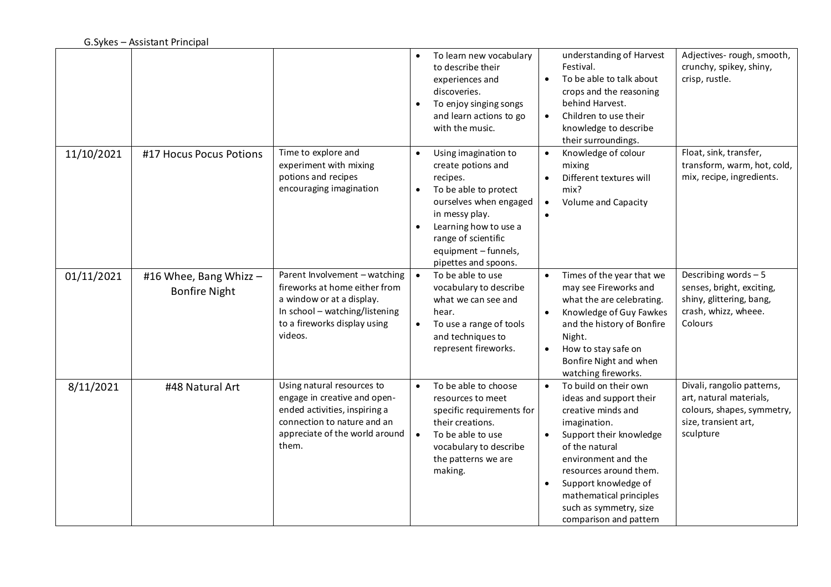|            |                                                |                                                                                                                                                                          | $\bullet$<br>$\bullet$              | To learn new vocabulary<br>to describe their<br>experiences and<br>discoveries.<br>To enjoy singing songs<br>and learn actions to go<br>with the music.                                                                     | $\bullet$<br>$\bullet$ | understanding of Harvest<br>Festival.<br>To be able to talk about<br>crops and the reasoning<br>behind Harvest.<br>Children to use their<br>knowledge to describe<br>their surroundings.                                                                                                    | Adjectives-rough, smooth,<br>crunchy, spikey, shiny,<br>crisp, rustle.                                                   |
|------------|------------------------------------------------|--------------------------------------------------------------------------------------------------------------------------------------------------------------------------|-------------------------------------|-----------------------------------------------------------------------------------------------------------------------------------------------------------------------------------------------------------------------------|------------------------|---------------------------------------------------------------------------------------------------------------------------------------------------------------------------------------------------------------------------------------------------------------------------------------------|--------------------------------------------------------------------------------------------------------------------------|
| 11/10/2021 | #17 Hocus Pocus Potions                        | Time to explore and<br>experiment with mixing<br>potions and recipes<br>encouraging imagination                                                                          | $\bullet$<br>$\bullet$<br>$\bullet$ | Using imagination to<br>create potions and<br>recipes.<br>To be able to protect<br>ourselves when engaged<br>in messy play.<br>Learning how to use a<br>range of scientific<br>equipment - funnels,<br>pipettes and spoons. | $\bullet$<br>$\bullet$ | Knowledge of colour<br>mixing<br>Different textures will<br>mix?<br>Volume and Capacity                                                                                                                                                                                                     | Float, sink, transfer,<br>transform, warm, hot, cold,<br>mix, recipe, ingredients.                                       |
| 01/11/2021 | #16 Whee, Bang Whizz -<br><b>Bonfire Night</b> | Parent Involvement - watching<br>fireworks at home either from<br>a window or at a display.<br>In school - watching/listening<br>to a fireworks display using<br>videos. | $\bullet$<br>$\bullet$              | To be able to use<br>vocabulary to describe<br>what we can see and<br>hear.<br>To use a range of tools<br>and techniques to<br>represent fireworks.                                                                         | $\bullet$              | Times of the year that we<br>may see Fireworks and<br>what the are celebrating.<br>Knowledge of Guy Fawkes<br>and the history of Bonfire<br>Night.<br>How to stay safe on<br>Bonfire Night and when<br>watching fireworks.                                                                  | Describing words - 5<br>senses, bright, exciting,<br>shiny, glittering, bang,<br>crash, whizz, wheee.<br>Colours         |
| 8/11/2021  | #48 Natural Art                                | Using natural resources to<br>engage in creative and open-<br>ended activities, inspiring a<br>connection to nature and an<br>appreciate of the world around<br>them.    | $\bullet$<br>$\bullet$              | To be able to choose<br>resources to meet<br>specific requirements for<br>their creations.<br>To be able to use<br>vocabulary to describe<br>the patterns we are<br>making.                                                 | $\bullet$              | To build on their own<br>ideas and support their<br>creative minds and<br>imagination.<br>Support their knowledge<br>of the natural<br>environment and the<br>resources around them.<br>Support knowledge of<br>mathematical principles<br>such as symmetry, size<br>comparison and pattern | Divali, rangolio patterns,<br>art, natural materials,<br>colours, shapes, symmetry,<br>size, transient art,<br>sculpture |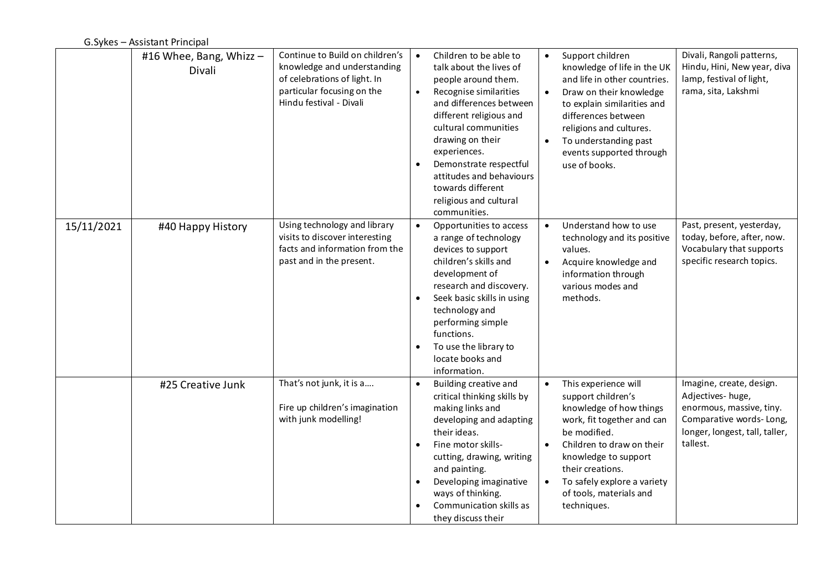|            | #16 Whee, Bang, Whizz -<br>Divali | Continue to Build on children's<br>knowledge and understanding<br>of celebrations of light. In<br>particular focusing on the<br>Hindu festival - Divali | $\bullet$<br>$\bullet$<br>$\bullet$ | Children to be able to<br>talk about the lives of<br>people around them.<br>Recognise similarities<br>and differences between<br>different religious and<br>cultural communities<br>drawing on their<br>experiences.<br>Demonstrate respectful<br>attitudes and behaviours<br>towards different<br>religious and cultural<br>communities. | $\bullet$              | Support children<br>knowledge of life in the UK<br>and life in other countries.<br>Draw on their knowledge<br>to explain similarities and<br>differences between<br>religions and cultures.<br>To understanding past<br>events supported through<br>use of books.     | Divali, Rangoli patterns,<br>Hindu, Hini, New year, diva<br>lamp, festival of light,<br>rama, sita, Lakshmi                                       |
|------------|-----------------------------------|---------------------------------------------------------------------------------------------------------------------------------------------------------|-------------------------------------|-------------------------------------------------------------------------------------------------------------------------------------------------------------------------------------------------------------------------------------------------------------------------------------------------------------------------------------------|------------------------|-----------------------------------------------------------------------------------------------------------------------------------------------------------------------------------------------------------------------------------------------------------------------|---------------------------------------------------------------------------------------------------------------------------------------------------|
| 15/11/2021 | #40 Happy History                 | Using technology and library<br>visits to discover interesting<br>facts and information from the<br>past and in the present.                            | $\bullet$<br>$\bullet$<br>$\bullet$ | Opportunities to access<br>a range of technology<br>devices to support<br>children's skills and<br>development of<br>research and discovery.<br>Seek basic skills in using<br>technology and<br>performing simple<br>functions.<br>To use the library to<br>locate books and<br>information.                                              |                        | Understand how to use<br>technology and its positive<br>values.<br>Acquire knowledge and<br>information through<br>various modes and<br>methods.                                                                                                                      | Past, present, yesterday,<br>today, before, after, now.<br>Vocabulary that supports<br>specific research topics.                                  |
|            | #25 Creative Junk                 | That's not junk, it is a<br>Fire up children's imagination<br>with junk modelling!                                                                      | $\bullet$<br>$\bullet$<br>$\bullet$ | Building creative and<br>critical thinking skills by<br>making links and<br>developing and adapting<br>their ideas.<br>Fine motor skills-<br>cutting, drawing, writing<br>and painting.<br>Developing imaginative<br>ways of thinking.<br>Communication skills as<br>they discuss their                                                   | $\bullet$<br>$\bullet$ | This experience will<br>support children's<br>knowledge of how things<br>work, fit together and can<br>be modified.<br>Children to draw on their<br>knowledge to support<br>their creations.<br>To safely explore a variety<br>of tools, materials and<br>techniques. | Imagine, create, design.<br>Adjectives-huge,<br>enormous, massive, tiny.<br>Comparative words-Long,<br>longer, longest, tall, taller,<br>tallest. |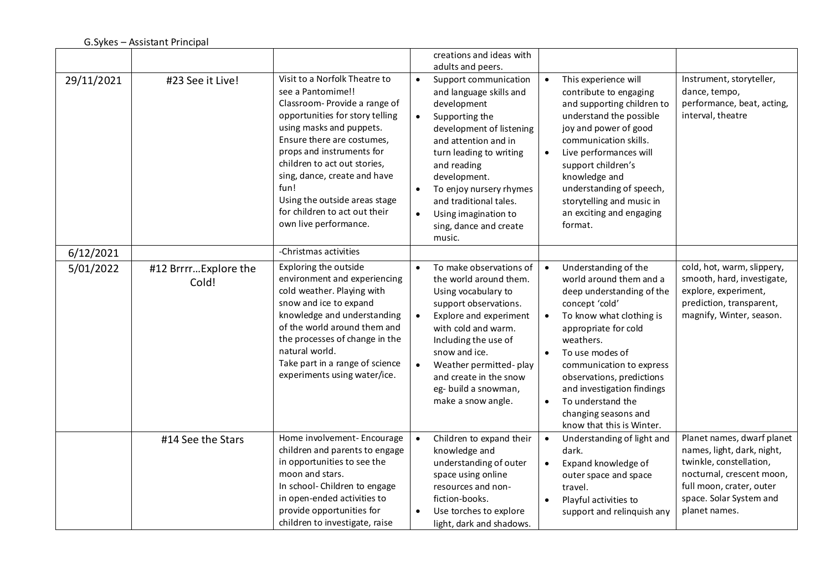|            |                               |                                                                                                                                                                                                                                                                                                                                                                                 |                                                  | creations and ideas with<br>adults and peers.                                                                                                                                                                                                                                                                    |                        |                                                                                                                                                                                                                                                                                                                                                     |                                                                                                                                                                                          |
|------------|-------------------------------|---------------------------------------------------------------------------------------------------------------------------------------------------------------------------------------------------------------------------------------------------------------------------------------------------------------------------------------------------------------------------------|--------------------------------------------------|------------------------------------------------------------------------------------------------------------------------------------------------------------------------------------------------------------------------------------------------------------------------------------------------------------------|------------------------|-----------------------------------------------------------------------------------------------------------------------------------------------------------------------------------------------------------------------------------------------------------------------------------------------------------------------------------------------------|------------------------------------------------------------------------------------------------------------------------------------------------------------------------------------------|
| 29/11/2021 | #23 See it Live!              | Visit to a Norfolk Theatre to<br>see a Pantomime!!<br>Classroom-Provide a range of<br>opportunities for story telling<br>using masks and puppets.<br>Ensure there are costumes,<br>props and instruments for<br>children to act out stories,<br>sing, dance, create and have<br>fun!<br>Using the outside areas stage<br>for children to act out their<br>own live performance. | $\bullet$<br>$\bullet$<br>$\bullet$<br>$\bullet$ | Support communication<br>and language skills and<br>development<br>Supporting the<br>development of listening<br>and attention and in<br>turn leading to writing<br>and reading<br>development.<br>To enjoy nursery rhymes<br>and traditional tales.<br>Using imagination to<br>sing, dance and create<br>music. | $\bullet$<br>$\bullet$ | This experience will<br>contribute to engaging<br>and supporting children to<br>understand the possible<br>joy and power of good<br>communication skills.<br>Live performances will<br>support children's<br>knowledge and<br>understanding of speech,<br>storytelling and music in<br>an exciting and engaging<br>format.                          | Instrument, storyteller,<br>dance, tempo,<br>performance, beat, acting,<br>interval, theatre                                                                                             |
| 6/12/2021  |                               | -Christmas activities                                                                                                                                                                                                                                                                                                                                                           |                                                  |                                                                                                                                                                                                                                                                                                                  |                        |                                                                                                                                                                                                                                                                                                                                                     |                                                                                                                                                                                          |
| 5/01/2022  | #12 BrrrrExplore the<br>Cold! | Exploring the outside<br>environment and experiencing<br>cold weather. Playing with<br>snow and ice to expand<br>knowledge and understanding<br>of the world around them and<br>the processes of change in the<br>natural world.<br>Take part in a range of science<br>experiments using water/ice.                                                                             | $\bullet$<br>$\bullet$                           | To make observations of<br>the world around them.<br>Using vocabulary to<br>support observations.<br>Explore and experiment<br>with cold and warm.<br>Including the use of<br>snow and ice.<br>Weather permitted-play<br>and create in the snow<br>eg-build a snowman,<br>make a snow angle.                     | $\bullet$<br>$\bullet$ | Understanding of the<br>world around them and a<br>deep understanding of the<br>concept 'cold'<br>To know what clothing is<br>appropriate for cold<br>weathers.<br>To use modes of<br>communication to express<br>observations, predictions<br>and investigation findings<br>To understand the<br>changing seasons and<br>know that this is Winter. | cold, hot, warm, slippery,<br>smooth, hard, investigate,<br>explore, experiment,<br>prediction, transparent,<br>magnify, Winter, season.                                                 |
|            | #14 See the Stars             | Home involvement-Encourage<br>children and parents to engage<br>in opportunities to see the<br>moon and stars.<br>In school- Children to engage<br>in open-ended activities to<br>provide opportunities for<br>children to investigate, raise                                                                                                                                   | $\bullet$<br>$\bullet$                           | Children to expand their<br>knowledge and<br>understanding of outer<br>space using online<br>resources and non-<br>fiction-books.<br>Use torches to explore<br>light, dark and shadows.                                                                                                                          | $\bullet$<br>$\bullet$ | Understanding of light and<br>dark.<br>Expand knowledge of<br>outer space and space<br>travel.<br>Playful activities to<br>support and relinquish any                                                                                                                                                                                               | Planet names, dwarf planet<br>names, light, dark, night,<br>twinkle, constellation,<br>nocturnal, crescent moon,<br>full moon, crater, outer<br>space. Solar System and<br>planet names. |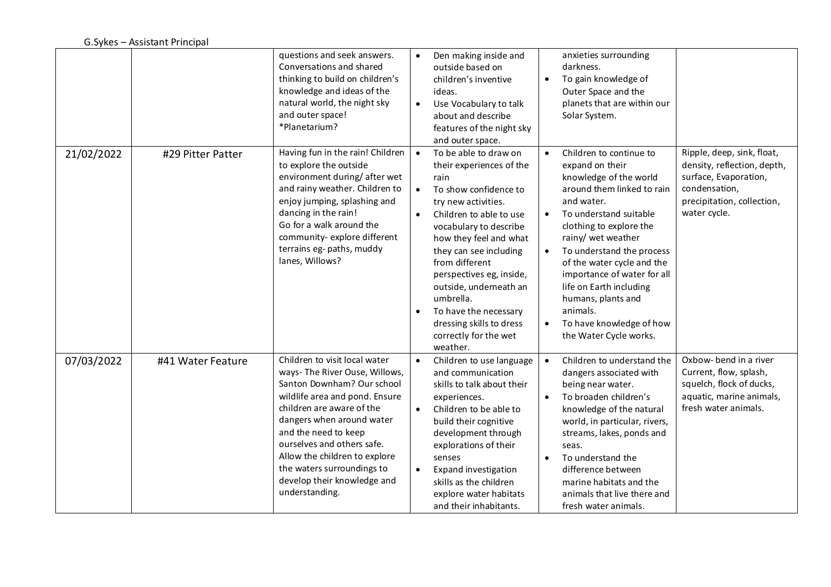|            |                   | questions and seek answers.<br>Conversations and shared<br>thinking to build on children's<br>knowledge and ideas of the<br>natural world, the night sky<br>and outer space!<br>*Planetarium?                                                                                                                                                                   | $\bullet$                           | Den making inside and<br>outside based on<br>children's inventive<br>ideas.<br>Use Vocabulary to talk<br>about and describe<br>features of the night sky<br>and outer space.                                                                                                                                                                                                                      | $\bullet$ | anxieties surrounding<br>darkness.<br>To gain knowledge of<br>Outer Space and the<br>planets that are within our<br>Solar System.                                                                                                                                                                                                                                                                        |                                                                                                                                                   |
|------------|-------------------|-----------------------------------------------------------------------------------------------------------------------------------------------------------------------------------------------------------------------------------------------------------------------------------------------------------------------------------------------------------------|-------------------------------------|---------------------------------------------------------------------------------------------------------------------------------------------------------------------------------------------------------------------------------------------------------------------------------------------------------------------------------------------------------------------------------------------------|-----------|----------------------------------------------------------------------------------------------------------------------------------------------------------------------------------------------------------------------------------------------------------------------------------------------------------------------------------------------------------------------------------------------------------|---------------------------------------------------------------------------------------------------------------------------------------------------|
| 21/02/2022 | #29 Pitter Patter | Having fun in the rain! Children<br>to explore the outside<br>environment during/after wet<br>and rainy weather. Children to<br>enjoy jumping, splashing and<br>dancing in the rain!<br>Go for a walk around the<br>community-explore different<br>terrains eg- paths, muddy<br>lanes, Willows?                                                                 | $\bullet$<br>$\bullet$<br>$\bullet$ | To be able to draw on<br>their experiences of the<br>rain<br>To show confidence to<br>try new activities.<br>Children to able to use<br>vocabulary to describe<br>how they feel and what<br>they can see including<br>from different<br>perspectives eg, inside,<br>outside, underneath an<br>umbrella.<br>To have the necessary<br>dressing skills to dress<br>correctly for the wet<br>weather. | $\bullet$ | Children to continue to<br>expand on their<br>knowledge of the world<br>around them linked to rain<br>and water.<br>To understand suitable<br>clothing to explore the<br>rainy/ wet weather<br>To understand the process<br>of the water cycle and the<br>importance of water for all<br>life on Earth including<br>humans, plants and<br>animals.<br>To have knowledge of how<br>the Water Cycle works. | Ripple, deep, sink, float,<br>density, reflection, depth,<br>surface, Evaporation,<br>condensation,<br>precipitation, collection,<br>water cycle. |
| 07/03/2022 | #41 Water Feature | Children to visit local water<br>ways- The River Ouse, Willows,<br>Santon Downham? Our school<br>wildlife area and pond. Ensure<br>children are aware of the<br>dangers when around water<br>and the need to keep<br>ourselves and others safe.<br>Allow the children to explore<br>the waters surroundings to<br>develop their knowledge and<br>understanding. | $\bullet$<br>$\bullet$              | Children to use language<br>and communication<br>skills to talk about their<br>experiences.<br>Children to be able to<br>build their cognitive<br>development through<br>explorations of their<br>senses<br><b>Expand investigation</b><br>skills as the children<br>explore water habitats<br>and their inhabitants.                                                                             | $\bullet$ | Children to understand the<br>dangers associated with<br>being near water.<br>To broaden children's<br>knowledge of the natural<br>world, in particular, rivers,<br>streams, lakes, ponds and<br>seas.<br>To understand the<br>difference between<br>marine habitats and the<br>animals that live there and<br>fresh water animals.                                                                      | Oxbow- bend in a river<br>Current, flow, splash,<br>squelch, flock of ducks,<br>aquatic, marine animals,<br>fresh water animals.                  |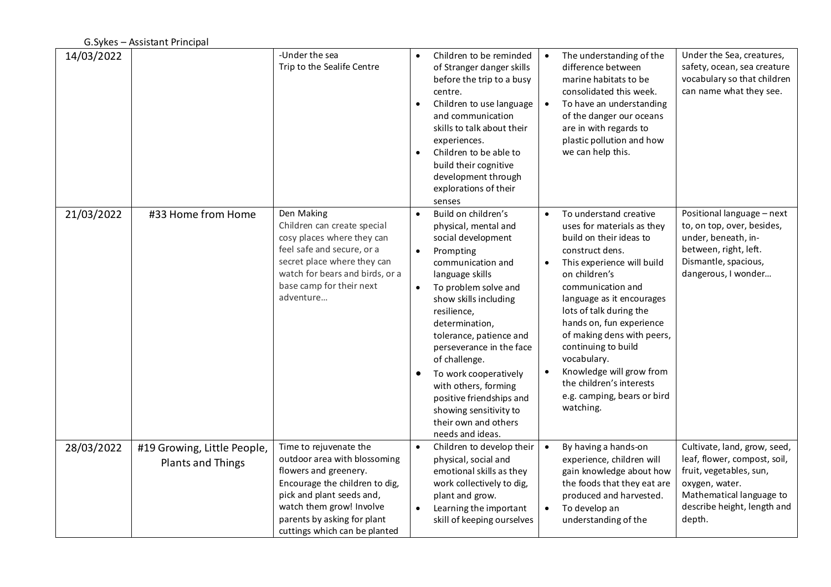| 14/03/2022 |                                                  | -Under the sea<br>Trip to the Sealife Centre                                                                                                                                                                                               | $\bullet$<br>$\bullet$              | Children to be reminded<br>of Stranger danger skills<br>before the trip to a busy<br>centre.<br>Children to use language<br>and communication<br>skills to talk about their<br>experiences.<br>Children to be able to<br>build their cognitive<br>development through<br>explorations of their<br>senses                                                                                                                            | $\bullet$              | The understanding of the<br>difference between<br>marine habitats to be<br>consolidated this week.<br>To have an understanding<br>of the danger our oceans<br>are in with regards to<br>plastic pollution and how<br>we can help this.                                                                                                                                                                                             | Under the Sea, creatures,<br>safety, ocean, sea creature<br>vocabulary so that children<br>can name what they see.                                                             |
|------------|--------------------------------------------------|--------------------------------------------------------------------------------------------------------------------------------------------------------------------------------------------------------------------------------------------|-------------------------------------|-------------------------------------------------------------------------------------------------------------------------------------------------------------------------------------------------------------------------------------------------------------------------------------------------------------------------------------------------------------------------------------------------------------------------------------|------------------------|------------------------------------------------------------------------------------------------------------------------------------------------------------------------------------------------------------------------------------------------------------------------------------------------------------------------------------------------------------------------------------------------------------------------------------|--------------------------------------------------------------------------------------------------------------------------------------------------------------------------------|
| 21/03/2022 | #33 Home from Home                               | Den Making<br>Children can create special<br>cosy places where they can<br>feel safe and secure, or a<br>secret place where they can<br>watch for bears and birds, or a<br>base camp for their next<br>adventure                           | $\bullet$<br>$\bullet$<br>$\bullet$ | Build on children's<br>physical, mental and<br>social development<br>Prompting<br>communication and<br>language skills<br>To problem solve and<br>show skills including<br>resilience,<br>determination,<br>tolerance, patience and<br>perseverance in the face<br>of challenge.<br>To work cooperatively<br>with others, forming<br>positive friendships and<br>showing sensitivity to<br>their own and others<br>needs and ideas. |                        | To understand creative<br>uses for materials as they<br>build on their ideas to<br>construct dens.<br>This experience will build<br>on children's<br>communication and<br>language as it encourages<br>lots of talk during the<br>hands on, fun experience<br>of making dens with peers,<br>continuing to build<br>vocabulary.<br>Knowledge will grow from<br>the children's interests<br>e.g. camping, bears or bird<br>watching. | Positional language - next<br>to, on top, over, besides,<br>under, beneath, in-<br>between, right, left.<br>Dismantle, spacious,<br>dangerous, I wonder                        |
| 28/03/2022 | #19 Growing, Little People,<br>Plants and Things | Time to rejuvenate the<br>outdoor area with blossoming<br>flowers and greenery.<br>Encourage the children to dig,<br>pick and plant seeds and,<br>watch them grow! Involve<br>parents by asking for plant<br>cuttings which can be planted | $\bullet$<br>$\bullet$              | Children to develop their<br>physical, social and<br>emotional skills as they<br>work collectively to dig,<br>plant and grow.<br>Learning the important<br>skill of keeping ourselves                                                                                                                                                                                                                                               | $\bullet$<br>$\bullet$ | By having a hands-on<br>experience, children will<br>gain knowledge about how<br>the foods that they eat are<br>produced and harvested.<br>To develop an<br>understanding of the                                                                                                                                                                                                                                                   | Cultivate, land, grow, seed,<br>leaf, flower, compost, soil,<br>fruit, vegetables, sun,<br>oxygen, water.<br>Mathematical language to<br>describe height, length and<br>depth. |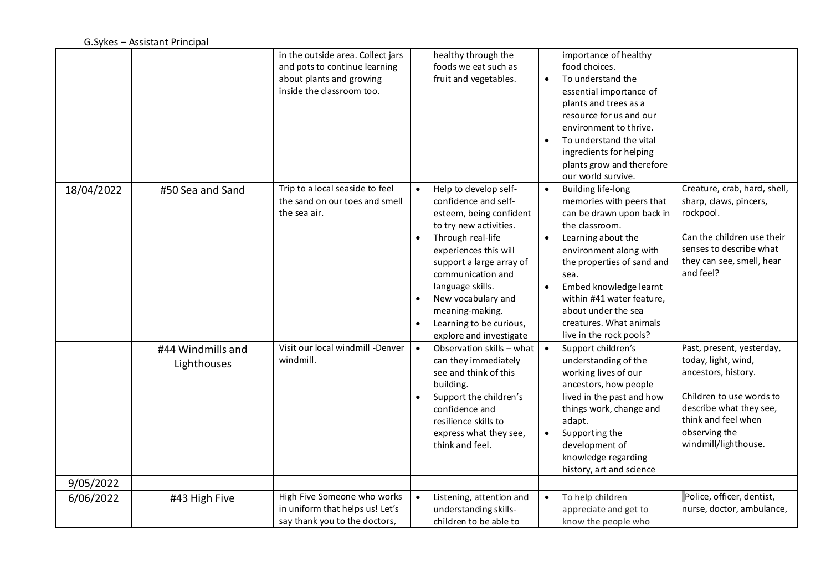|            |                                  | in the outside area. Collect jars<br>and pots to continue learning<br>about plants and growing<br>inside the classroom too. | healthy through the<br>foods we eat such as<br>fruit and vegetables.                                                                                                                                                                                                                                                                                                     | importance of healthy<br>food choices.<br>To understand the<br>essential importance of<br>plants and trees as a<br>resource for us and our<br>environment to thrive.<br>To understand the vital<br>$\bullet$<br>ingredients for helping<br>plants grow and therefore                                                                                                                                                                                                                                                  |
|------------|----------------------------------|-----------------------------------------------------------------------------------------------------------------------------|--------------------------------------------------------------------------------------------------------------------------------------------------------------------------------------------------------------------------------------------------------------------------------------------------------------------------------------------------------------------------|-----------------------------------------------------------------------------------------------------------------------------------------------------------------------------------------------------------------------------------------------------------------------------------------------------------------------------------------------------------------------------------------------------------------------------------------------------------------------------------------------------------------------|
|            |                                  |                                                                                                                             |                                                                                                                                                                                                                                                                                                                                                                          | our world survive.                                                                                                                                                                                                                                                                                                                                                                                                                                                                                                    |
| 18/04/2022 | #50 Sea and Sand                 | Trip to a local seaside to feel<br>the sand on our toes and smell<br>the sea air.                                           | Help to develop self-<br>$\bullet$<br>confidence and self-<br>esteem, being confident<br>to try new activities.<br>Through real-life<br>$\bullet$<br>experiences this will<br>support a large array of<br>communication and<br>language skills.<br>New vocabulary and<br>$\bullet$<br>meaning-making.<br>Learning to be curious,<br>$\bullet$<br>explore and investigate | Creature, crab, hard, shell,<br><b>Building life-long</b><br>sharp, claws, pincers,<br>memories with peers that<br>rockpool.<br>can be drawn upon back in<br>the classroom.<br>Can the children use their<br>Learning about the<br>senses to describe what<br>environment along with<br>they can see, smell, hear<br>the properties of sand and<br>and feel?<br>sea.<br>Embed knowledge learnt<br>$\bullet$<br>within #41 water feature,<br>about under the sea<br>creatures. What animals<br>live in the rock pools? |
|            | #44 Windmills and<br>Lighthouses | Visit our local windmill -Denver<br>windmill.                                                                               | Observation skills - what<br>$\bullet$<br>can they immediately<br>see and think of this<br>building.<br>Support the children's<br>$\bullet$<br>confidence and<br>resilience skills to<br>express what they see,<br>think and feel.                                                                                                                                       | Support children's<br>Past, present, yesterday,<br>understanding of the<br>today, light, wind,<br>working lives of our<br>ancestors, history.<br>ancestors, how people<br>Children to use words to<br>lived in the past and how<br>describe what they see,<br>things work, change and<br>think and feel when<br>adapt.<br>observing the<br>Supporting the<br>$\bullet$<br>windmill/lighthouse.<br>development of<br>knowledge regarding<br>history, art and science                                                   |
| 9/05/2022  |                                  |                                                                                                                             |                                                                                                                                                                                                                                                                                                                                                                          |                                                                                                                                                                                                                                                                                                                                                                                                                                                                                                                       |
| 6/06/2022  | #43 High Five                    | High Five Someone who works<br>in uniform that helps us! Let's<br>say thank you to the doctors,                             | Listening, attention and<br>$\bullet$<br>understanding skills-<br>children to be able to                                                                                                                                                                                                                                                                                 | Police, officer, dentist,<br>To help children<br>$\bullet$<br>nurse, doctor, ambulance,<br>appreciate and get to<br>know the people who                                                                                                                                                                                                                                                                                                                                                                               |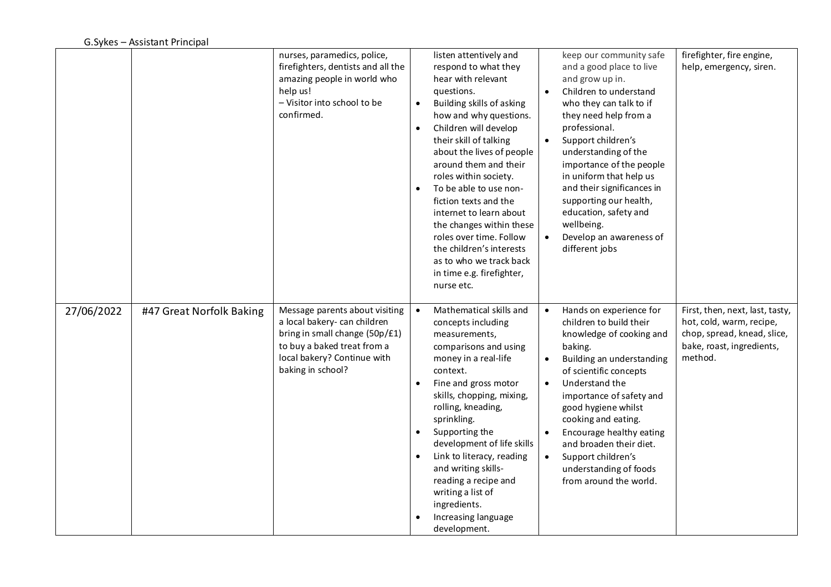|            |                          | nurses, paramedics, police,<br>firefighters, dentists and all the<br>amazing people in world who<br>help us!<br>- Visitor into school to be<br>confirmed.                           | $\bullet$<br>$\bullet$ | listen attentively and<br>respond to what they<br>hear with relevant<br>questions.<br>Building skills of asking<br>how and why questions.<br>Children will develop<br>their skill of talking<br>about the lives of people<br>around them and their<br>roles within society.<br>To be able to use non-<br>fiction texts and the<br>internet to learn about<br>the changes within these<br>roles over time. Follow<br>the children's interests<br>as to who we track back<br>in time e.g. firefighter,<br>nurse etc. | $\bullet$<br>$\bullet$ | keep our community safe<br>and a good place to live<br>and grow up in.<br>Children to understand<br>who they can talk to if<br>they need help from a<br>professional.<br>Support children's<br>understanding of the<br>importance of the people<br>in uniform that help us<br>and their significances in<br>supporting our health,<br>education, safety and<br>wellbeing.<br>Develop an awareness of<br>different jobs | firefighter, fire engine,<br>help, emergency, siren.                                                                               |
|------------|--------------------------|-------------------------------------------------------------------------------------------------------------------------------------------------------------------------------------|------------------------|--------------------------------------------------------------------------------------------------------------------------------------------------------------------------------------------------------------------------------------------------------------------------------------------------------------------------------------------------------------------------------------------------------------------------------------------------------------------------------------------------------------------|------------------------|------------------------------------------------------------------------------------------------------------------------------------------------------------------------------------------------------------------------------------------------------------------------------------------------------------------------------------------------------------------------------------------------------------------------|------------------------------------------------------------------------------------------------------------------------------------|
| 27/06/2022 | #47 Great Norfolk Baking | Message parents about visiting<br>a local bakery- can children<br>bring in small change (50p/£1)<br>to buy a baked treat from a<br>local bakery? Continue with<br>baking in school? | $\bullet$<br>$\bullet$ | Mathematical skills and<br>concepts including<br>measurements,<br>comparisons and using<br>money in a real-life<br>context.<br>Fine and gross motor<br>skills, chopping, mixing,<br>rolling, kneading,<br>sprinkling.<br>Supporting the<br>development of life skills<br>Link to literacy, reading<br>and writing skills-<br>reading a recipe and<br>writing a list of<br>ingredients.<br>Increasing language<br>development.                                                                                      | $\bullet$<br>$\bullet$ | Hands on experience for<br>children to build their<br>knowledge of cooking and<br>baking.<br>Building an understanding<br>of scientific concepts<br>Understand the<br>importance of safety and<br>good hygiene whilst<br>cooking and eating.<br>Encourage healthy eating<br>and broaden their diet.<br>Support children's<br>understanding of foods<br>from around the world.                                          | First, then, next, last, tasty,<br>hot, cold, warm, recipe,<br>chop, spread, knead, slice,<br>bake, roast, ingredients,<br>method. |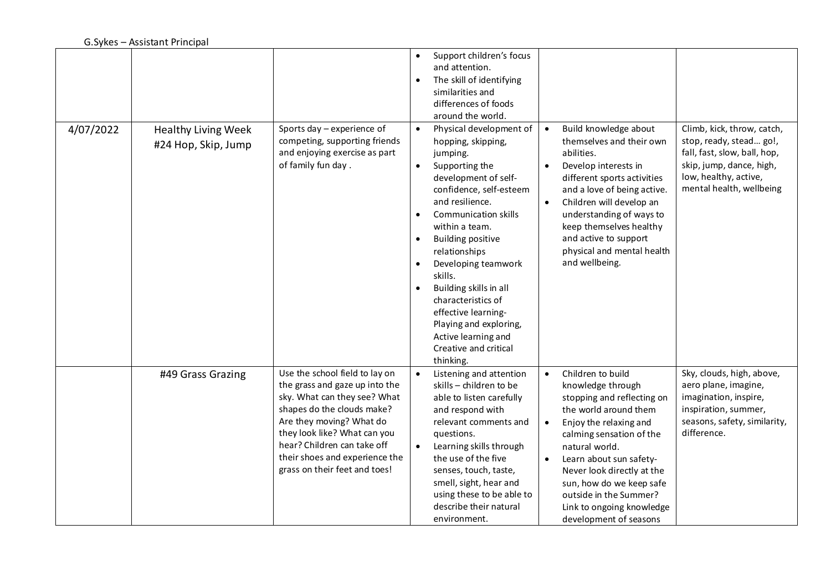| 4/07/2022 | <b>Healthy Living Week</b><br>#24 Hop, Skip, Jump | Sports day - experience of<br>competing, supporting friends<br>and enjoying exercise as part<br>of family fun day.                                                                                                                                                                           | $\bullet$<br>$\bullet$<br>$\bullet$<br>$\bullet$<br>$\bullet$<br>$\bullet$<br>$\bullet$<br>$\bullet$ | Support children's focus<br>and attention.<br>The skill of identifying<br>similarities and<br>differences of foods<br>around the world.<br>Physical development of<br>hopping, skipping,<br>jumping.<br>Supporting the<br>development of self-<br>confidence, self-esteem<br>and resilience.<br>Communication skills<br>within a team.<br><b>Building positive</b><br>relationships<br>Developing teamwork<br>skills.<br>Building skills in all<br>characteristics of<br>effective learning-<br>Playing and exploring,<br>Active learning and<br>Creative and critical<br>thinking. | $\bullet$<br>$\bullet$ | Build knowledge about<br>themselves and their own<br>abilities.<br>Develop interests in<br>different sports activities<br>and a love of being active.<br>Children will develop an<br>understanding of ways to<br>keep themselves healthy<br>and active to support<br>physical and mental health<br>and wellbeing.                           | Climb, kick, throw, catch,<br>stop, ready, stead go!,<br>fall, fast, slow, ball, hop,<br>skip, jump, dance, high,<br>low, healthy, active,<br>mental health, wellbeing |
|-----------|---------------------------------------------------|----------------------------------------------------------------------------------------------------------------------------------------------------------------------------------------------------------------------------------------------------------------------------------------------|------------------------------------------------------------------------------------------------------|-------------------------------------------------------------------------------------------------------------------------------------------------------------------------------------------------------------------------------------------------------------------------------------------------------------------------------------------------------------------------------------------------------------------------------------------------------------------------------------------------------------------------------------------------------------------------------------|------------------------|---------------------------------------------------------------------------------------------------------------------------------------------------------------------------------------------------------------------------------------------------------------------------------------------------------------------------------------------|------------------------------------------------------------------------------------------------------------------------------------------------------------------------|
|           | #49 Grass Grazing                                 | Use the school field to lay on<br>the grass and gaze up into the<br>sky. What can they see? What<br>shapes do the clouds make?<br>Are they moving? What do<br>they look like? What can you<br>hear? Children can take off<br>their shoes and experience the<br>grass on their feet and toes! | $\bullet$                                                                                            | Listening and attention<br>skills - children to be<br>able to listen carefully<br>and respond with<br>relevant comments and<br>questions.<br>Learning skills through<br>the use of the five<br>senses, touch, taste,<br>smell, sight, hear and<br>using these to be able to<br>describe their natural<br>environment.                                                                                                                                                                                                                                                               | $\bullet$<br>$\bullet$ | Children to build<br>knowledge through<br>stopping and reflecting on<br>the world around them<br>Enjoy the relaxing and<br>calming sensation of the<br>natural world.<br>Learn about sun safety-<br>Never look directly at the<br>sun, how do we keep safe<br>outside in the Summer?<br>Link to ongoing knowledge<br>development of seasons | Sky, clouds, high, above,<br>aero plane, imagine,<br>imagination, inspire,<br>inspiration, summer,<br>seasons, safety, similarity,<br>difference.                      |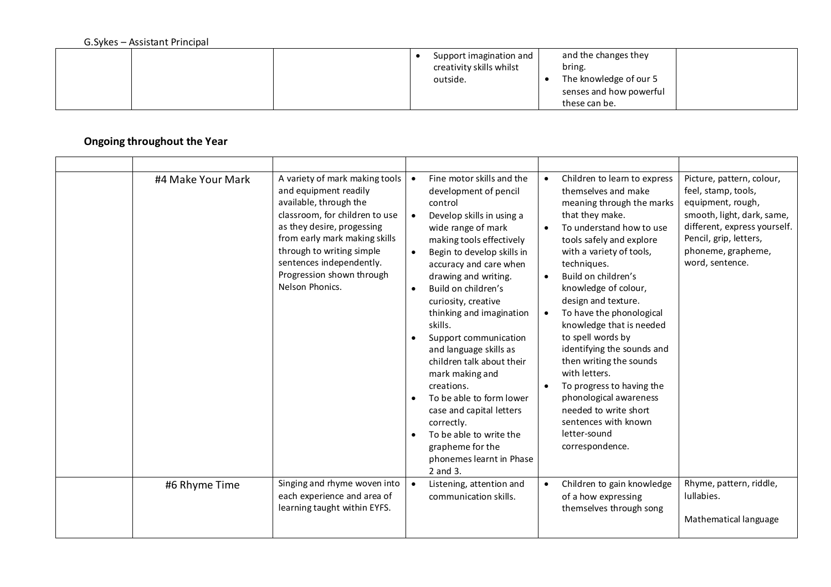|  |  | Support imagination and<br>creativity skills whilst<br>outside. |  | and the changes they<br>bring.<br>The knowledge of our 5<br>senses and how powerful<br>these can be. |  |
|--|--|-----------------------------------------------------------------|--|------------------------------------------------------------------------------------------------------|--|
|--|--|-----------------------------------------------------------------|--|------------------------------------------------------------------------------------------------------|--|

## **Ongoing throughout the Year**

| #4 Make Your Mark | A variety of mark making tools<br>and equipment readily<br>available, through the<br>classroom, for children to use<br>as they desire, progessing<br>from early mark making skills<br>through to writing simple<br>sentences independently.<br>Progression shown through<br>Nelson Phonics. | $\bullet$<br>$\bullet$ | Fine motor skills and the<br>development of pencil<br>control<br>Develop skills in using a<br>wide range of mark<br>making tools effectively<br>Begin to develop skills in<br>accuracy and care when<br>drawing and writing.<br>Build on children's<br>curiosity, creative<br>thinking and imagination<br>skills.<br>Support communication<br>and language skills as<br>children talk about their<br>mark making and<br>creations.<br>To be able to form lower<br>case and capital letters<br>correctly.<br>To be able to write the<br>grapheme for the<br>phonemes learnt in Phase<br>2 and 3. | $\bullet$<br>$\bullet$<br>$\bullet$<br>$\bullet$ | Children to learn to express<br>themselves and make<br>meaning through the marks<br>that they make.<br>To understand how to use<br>tools safely and explore<br>with a variety of tools,<br>techniques.<br>Build on children's<br>knowledge of colour,<br>design and texture.<br>To have the phonological<br>knowledge that is needed<br>to spell words by<br>identifying the sounds and<br>then writing the sounds<br>with letters.<br>To progress to having the<br>phonological awareness<br>needed to write short<br>sentences with known<br>letter-sound<br>correspondence. | Picture, pattern, colour,<br>feel, stamp, tools,<br>equipment, rough,<br>smooth, light, dark, same,<br>different, express yourself.<br>Pencil, grip, letters,<br>phoneme, grapheme,<br>word, sentence. |
|-------------------|---------------------------------------------------------------------------------------------------------------------------------------------------------------------------------------------------------------------------------------------------------------------------------------------|------------------------|-------------------------------------------------------------------------------------------------------------------------------------------------------------------------------------------------------------------------------------------------------------------------------------------------------------------------------------------------------------------------------------------------------------------------------------------------------------------------------------------------------------------------------------------------------------------------------------------------|--------------------------------------------------|--------------------------------------------------------------------------------------------------------------------------------------------------------------------------------------------------------------------------------------------------------------------------------------------------------------------------------------------------------------------------------------------------------------------------------------------------------------------------------------------------------------------------------------------------------------------------------|--------------------------------------------------------------------------------------------------------------------------------------------------------------------------------------------------------|
| #6 Rhyme Time     | Singing and rhyme woven into<br>each experience and area of<br>learning taught within EYFS.                                                                                                                                                                                                 | $\bullet$              | Listening, attention and<br>communication skills.                                                                                                                                                                                                                                                                                                                                                                                                                                                                                                                                               | $\bullet$                                        | Children to gain knowledge<br>of a how expressing<br>themselves through song                                                                                                                                                                                                                                                                                                                                                                                                                                                                                                   | Rhyme, pattern, riddle,<br>lullabies.<br>Mathematical language                                                                                                                                         |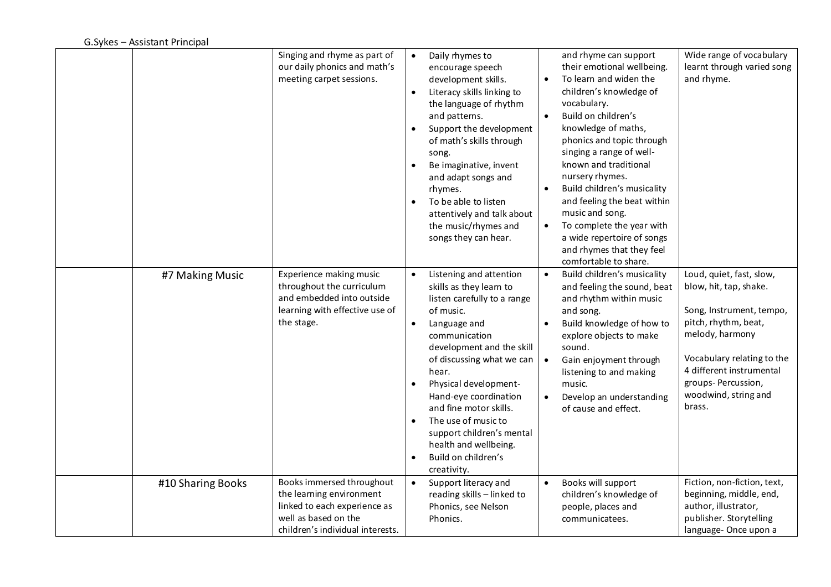|                   | Singing and rhyme as part of<br>our daily phonics and math's<br>meeting carpet sessions.                                                          | Daily rhymes to<br>$\bullet$<br>encourage speech<br>development skills.<br>Literacy skills linking to<br>$\bullet$<br>the language of rhythm<br>and patterns.<br>Support the development<br>$\bullet$<br>of math's skills through<br>song.<br>Be imaginative, invent<br>and adapt songs and<br>rhymes.<br>To be able to listen<br>$\bullet$<br>attentively and talk about<br>the music/rhymes and<br>songs they can hear.                             | $\bullet$<br>$\bullet$<br>$\bullet$ | and rhyme can support<br>their emotional wellbeing.<br>To learn and widen the<br>children's knowledge of<br>vocabulary.<br>Build on children's<br>knowledge of maths,<br>phonics and topic through<br>singing a range of well-<br>known and traditional<br>nursery rhymes.<br>Build children's musicality<br>and feeling the beat within<br>music and song.<br>To complete the year with<br>a wide repertoire of songs<br>and rhymes that they feel<br>comfortable to share. | Wide range of vocabulary<br>learnt through varied song<br>and rhyme.                                                                                                                                                                        |
|-------------------|---------------------------------------------------------------------------------------------------------------------------------------------------|-------------------------------------------------------------------------------------------------------------------------------------------------------------------------------------------------------------------------------------------------------------------------------------------------------------------------------------------------------------------------------------------------------------------------------------------------------|-------------------------------------|------------------------------------------------------------------------------------------------------------------------------------------------------------------------------------------------------------------------------------------------------------------------------------------------------------------------------------------------------------------------------------------------------------------------------------------------------------------------------|---------------------------------------------------------------------------------------------------------------------------------------------------------------------------------------------------------------------------------------------|
| #7 Making Music   | Experience making music<br>throughout the curriculum<br>and embedded into outside<br>learning with effective use of<br>the stage.                 | Listening and attention<br>$\bullet$<br>skills as they learn to<br>listen carefully to a range<br>of music.<br>Language and<br>$\bullet$<br>communication<br>development and the skill<br>of discussing what we can<br>hear.<br>Physical development-<br>$\bullet$<br>Hand-eye coordination<br>and fine motor skills.<br>The use of music to<br>$\bullet$<br>support children's mental<br>health and wellbeing.<br>Build on children's<br>creativity. | $\bullet$<br>$\bullet$<br>$\bullet$ | Build children's musicality<br>and feeling the sound, beat<br>and rhythm within music<br>and song.<br>Build knowledge of how to<br>explore objects to make<br>sound.<br>Gain enjoyment through<br>listening to and making<br>music.<br>Develop an understanding<br>of cause and effect.                                                                                                                                                                                      | Loud, quiet, fast, slow,<br>blow, hit, tap, shake.<br>Song, Instrument, tempo,<br>pitch, rhythm, beat,<br>melody, harmony<br>Vocabulary relating to the<br>4 different instrumental<br>groups-Percussion,<br>woodwind, string and<br>brass. |
| #10 Sharing Books | Books immersed throughout<br>the learning environment<br>linked to each experience as<br>well as based on the<br>children's individual interests. | Support literacy and<br>$\bullet$<br>reading skills - linked to<br>Phonics, see Nelson<br>Phonics.                                                                                                                                                                                                                                                                                                                                                    |                                     | Books will support<br>children's knowledge of<br>people, places and<br>communicatees.                                                                                                                                                                                                                                                                                                                                                                                        | Fiction, non-fiction, text,<br>beginning, middle, end,<br>author, illustrator,<br>publisher. Storytelling<br>language-Once upon a                                                                                                           |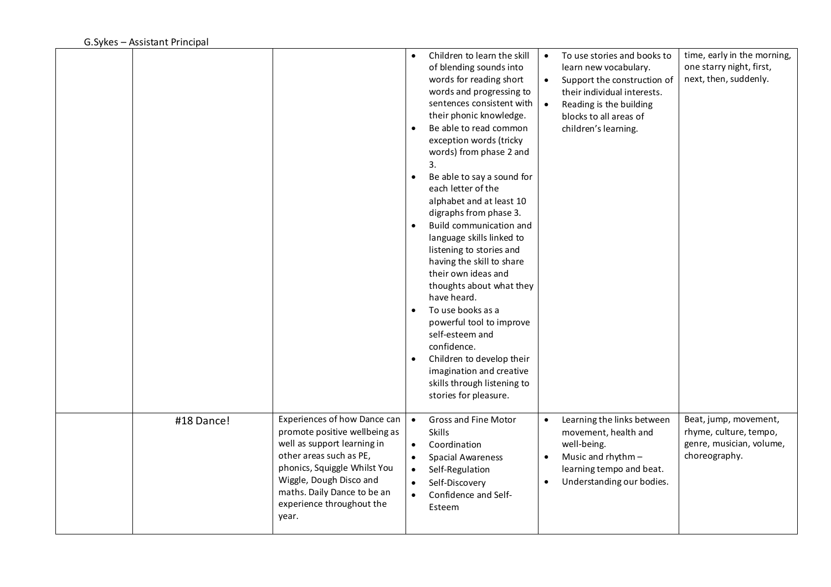|            |                                                                                                                                                                                                                                                         | $\bullet$<br>$\bullet$<br>$\bullet$<br>$\bullet$<br>$\bullet$<br>$\bullet$ | Children to learn the skill<br>of blending sounds into<br>words for reading short<br>words and progressing to<br>sentences consistent with<br>their phonic knowledge.<br>Be able to read common<br>exception words (tricky<br>words) from phase 2 and<br>3.<br>Be able to say a sound for<br>each letter of the<br>alphabet and at least 10<br>digraphs from phase 3.<br>Build communication and<br>language skills linked to<br>listening to stories and<br>having the skill to share<br>their own ideas and<br>thoughts about what they<br>have heard.<br>To use books as a<br>powerful tool to improve<br>self-esteem and<br>confidence.<br>Children to develop their<br>imagination and creative<br>skills through listening to<br>stories for pleasure. | $\bullet$<br>$\bullet$ | To use stories and books to<br>learn new vocabulary.<br>Support the construction of<br>their individual interests.<br>Reading is the building<br>blocks to all areas of<br>children's learning. | time, early in the morning,<br>one starry night, first,<br>next, then, suddenly.             |
|------------|---------------------------------------------------------------------------------------------------------------------------------------------------------------------------------------------------------------------------------------------------------|----------------------------------------------------------------------------|--------------------------------------------------------------------------------------------------------------------------------------------------------------------------------------------------------------------------------------------------------------------------------------------------------------------------------------------------------------------------------------------------------------------------------------------------------------------------------------------------------------------------------------------------------------------------------------------------------------------------------------------------------------------------------------------------------------------------------------------------------------|------------------------|-------------------------------------------------------------------------------------------------------------------------------------------------------------------------------------------------|----------------------------------------------------------------------------------------------|
| #18 Dance! | Experiences of how Dance can<br>promote positive wellbeing as<br>well as support learning in<br>other areas such as PE,<br>phonics, Squiggle Whilst You<br>Wiggle, Dough Disco and<br>maths. Daily Dance to be an<br>experience throughout the<br>year. | $\bullet$<br>$\bullet$<br>$\bullet$<br>$\bullet$<br>$\bullet$<br>$\bullet$ | Gross and Fine Motor<br>Skills<br>Coordination<br><b>Spacial Awareness</b><br>Self-Regulation<br>Self-Discovery<br>Confidence and Self-<br>Esteem                                                                                                                                                                                                                                                                                                                                                                                                                                                                                                                                                                                                            | $\bullet$<br>$\bullet$ | Learning the links between<br>movement, health and<br>well-being.<br>Music and rhythm -<br>learning tempo and beat.<br>Understanding our bodies.                                                | Beat, jump, movement,<br>rhyme, culture, tempo,<br>genre, musician, volume,<br>choreography. |